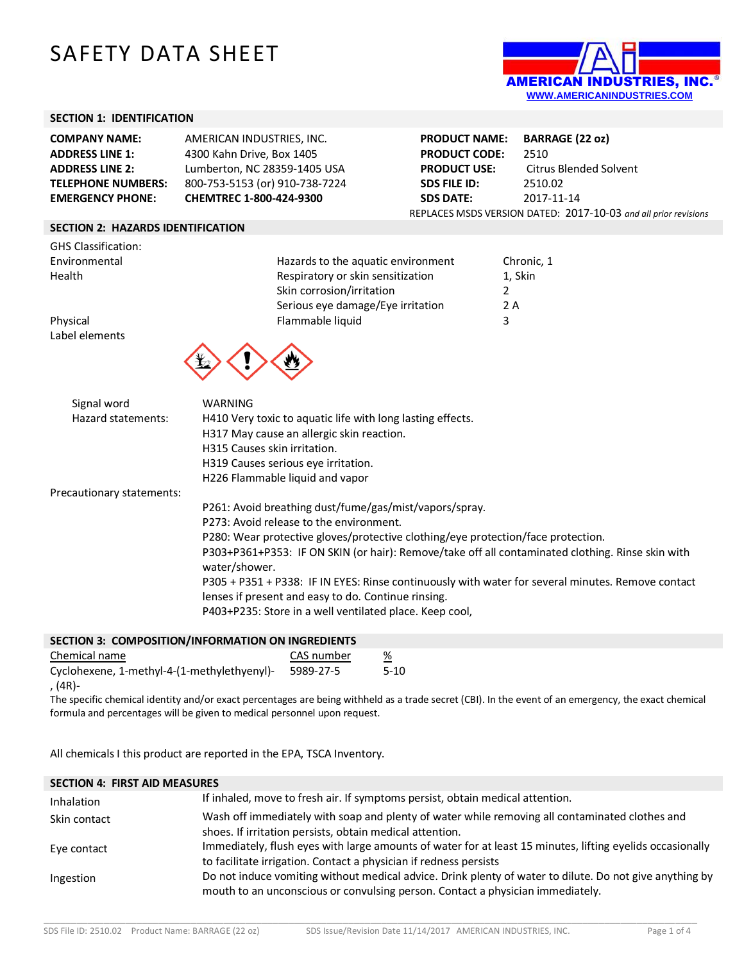# SAFETY DATA SHEET



## **SECTION 1: IDENTIFICATION**

| <b>COMPANY NAME:</b>      | AMERICAN INDUSTRIES, INC.      | <b>PRODUCT NAME:</b> | <b>BARRAGE (22 oz)</b>                                          |
|---------------------------|--------------------------------|----------------------|-----------------------------------------------------------------|
| <b>ADDRESS LINE 1:</b>    | 4300 Kahn Drive, Box 1405      | <b>PRODUCT CODE:</b> | 2510                                                            |
| <b>ADDRESS LINE 2:</b>    | Lumberton, NC 28359-1405 USA   | <b>PRODUCT USE:</b>  | Citrus Blended Solvent                                          |
| <b>TELEPHONE NUMBERS:</b> | 800-753-5153 (or) 910-738-7224 | <b>SDS FILE ID:</b>  | 2510.02                                                         |
| <b>EMERGENCY PHONE:</b>   | <b>CHEMTREC 1-800-424-9300</b> | <b>SDS DATE:</b>     | 2017-11-14                                                      |
|                           |                                |                      | REPLACES MSDS VERSION DATED: 2017-10-03 and all prior revisions |

#### **SECTION 2: HAZARDS IDENTIFICATION**

| <b>GHS Classification:</b>        |                                                                                                                                                                                           |            |  |  |
|-----------------------------------|-------------------------------------------------------------------------------------------------------------------------------------------------------------------------------------------|------------|--|--|
| Environmental                     | Hazards to the aquatic environment                                                                                                                                                        | Chronic, 1 |  |  |
| Health                            | Respiratory or skin sensitization                                                                                                                                                         | 1, Skin    |  |  |
|                                   | Skin corrosion/irritation                                                                                                                                                                 | 2          |  |  |
|                                   | Serious eye damage/Eye irritation                                                                                                                                                         | 2 A        |  |  |
| Physical                          | Flammable liquid                                                                                                                                                                          | 3          |  |  |
| Label elements                    |                                                                                                                                                                                           |            |  |  |
| Signal word<br>Hazard statements: | WARNING<br>H410 Very toxic to aquatic life with long lasting effects.<br>H317 May cause an allergic skin reaction.<br>H315 Causes skin irritation.<br>H319 Causes serious eye irritation. |            |  |  |
|                                   | H226 Flammable liquid and vapor                                                                                                                                                           |            |  |  |
| Precautionary statements:         | P261: Avoid breathing dust/fume/gas/mist/vapors/spray.                                                                                                                                    |            |  |  |
|                                   | P273: Avoid release to the environment.                                                                                                                                                   |            |  |  |
|                                   | P280: Wear protective gloves/protective clothing/eye protection/face protection.                                                                                                          |            |  |  |
|                                   | P303+P361+P353: IF ON SKIN (or hair): Remove/take off all contaminated clothing. Rinse skin with<br>water/shower.                                                                         |            |  |  |
|                                   | P305 + P351 + P338: IF IN EYES: Rinse continuously with water for several minutes. Remove contact<br>lenses if present and easy to do. Continue rinsing.                                  |            |  |  |
|                                   | P403+P235: Store in a well ventilated place. Keep cool,                                                                                                                                   |            |  |  |

|               | SECTION 3: COMPOSITION/INFORMATION ON INGREDIENTS |            |
|---------------|---------------------------------------------------|------------|
| Chamical nama |                                                   | CAS numhar |

| Chemical name                               | CAS number | %      |
|---------------------------------------------|------------|--------|
| Cyclohexene, 1-methyl-4-(1-methylethyenyl)- | 5989-27-5  | $5-10$ |
| , (4R)-                                     |            |        |

The specific chemical identity and/or exact percentages are being withheld as a trade secret (CBI). In the event of an emergency, the exact chemical formula and percentages will be given to medical personnel upon request.

All chemicals I this product are reported in the EPA, TSCA Inventory.

| <b>SECTION 4: FIRST AID MEASURES</b> |                                                                                                                                                                                           |
|--------------------------------------|-------------------------------------------------------------------------------------------------------------------------------------------------------------------------------------------|
| Inhalation                           | If inhaled, move to fresh air. If symptoms persist, obtain medical attention.                                                                                                             |
| Skin contact                         | Wash off immediately with soap and plenty of water while removing all contaminated clothes and<br>shoes. If irritation persists, obtain medical attention.                                |
| Eye contact                          | Immediately, flush eyes with large amounts of water for at least 15 minutes, lifting eyelids occasionally<br>to facilitate irrigation. Contact a physician if redness persists            |
| Ingestion                            | Do not induce vomiting without medical advice. Drink plenty of water to dilute. Do not give anything by<br>mouth to an unconscious or convulsing person. Contact a physician immediately. |

\_\_\_\_\_\_\_\_\_\_\_\_\_\_\_\_\_\_\_\_\_\_\_\_\_\_\_\_\_\_\_\_\_\_\_\_\_\_\_\_\_\_\_\_\_\_\_\_\_\_\_\_\_\_\_\_\_\_\_\_\_\_\_\_\_\_\_\_\_\_\_\_\_\_\_\_\_\_\_\_\_\_\_\_\_\_\_\_\_\_\_\_\_\_\_\_\_\_\_\_\_\_\_\_\_\_\_\_\_\_\_\_\_\_\_\_\_\_\_\_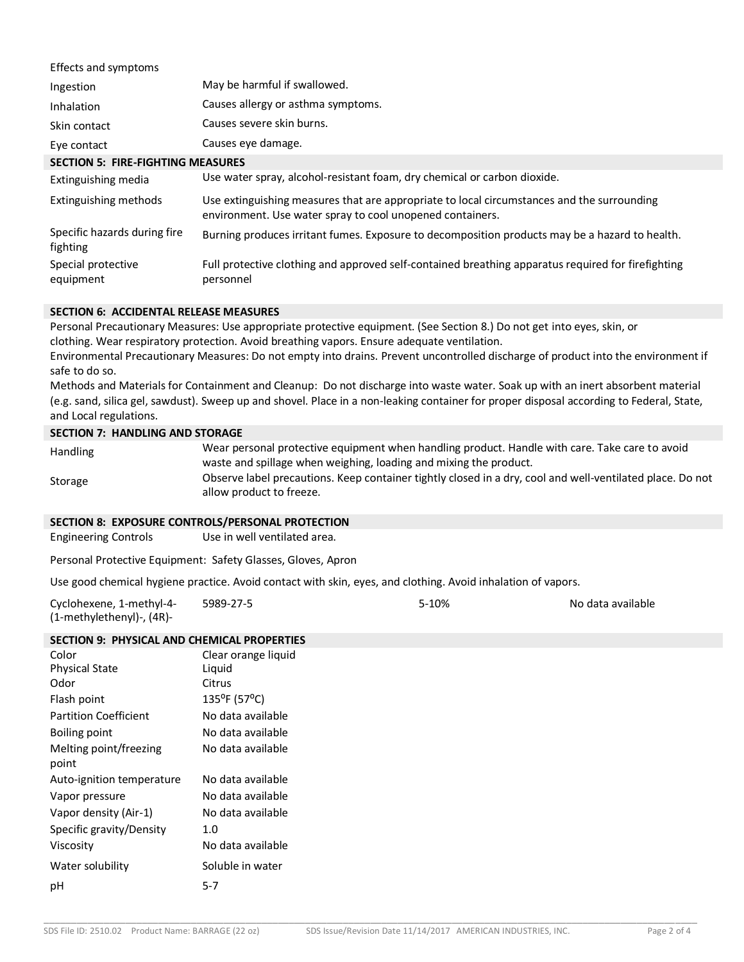| Effects and symptoms                     |                                                                                                                                                         |
|------------------------------------------|---------------------------------------------------------------------------------------------------------------------------------------------------------|
| Ingestion                                | May be harmful if swallowed.                                                                                                                            |
| Inhalation                               | Causes allergy or asthma symptoms.                                                                                                                      |
| Skin contact                             | Causes severe skin burns.                                                                                                                               |
| Eye contact                              | Causes eye damage.                                                                                                                                      |
| <b>SECTION 5: FIRE-FIGHTING MEASURES</b> |                                                                                                                                                         |
| Extinguishing media                      | Use water spray, alcohol-resistant foam, dry chemical or carbon dioxide.                                                                                |
| Extinguishing methods                    | Use extinguishing measures that are appropriate to local circumstances and the surrounding<br>environment. Use water spray to cool unopened containers. |
| Specific hazards during fire<br>fighting | Burning produces irritant fumes. Exposure to decomposition products may be a hazard to health.                                                          |
| Special protective<br>equipment          | Full protective clothing and approved self-contained breathing apparatus required for firefighting<br>personnel                                         |

#### **SECTION 6: ACCIDENTAL RELEASE MEASURES**

Personal Precautionary Measures: Use appropriate protective equipment. (See Section 8.) Do not get into eyes, skin, or clothing. Wear respiratory protection. Avoid breathing vapors. Ensure adequate ventilation.

Environmental Precautionary Measures: Do not empty into drains. Prevent uncontrolled discharge of product into the environment if safe to do so.

Methods and Materials for Containment and Cleanup: Do not discharge into waste water. Soak up with an inert absorbent material (e.g. sand, silica gel, sawdust). Sweep up and shovel. Place in a non-leaking container for proper disposal according to Federal, State, and Local regulations.

#### **SECTION 7: HANDLING AND STORAGE**

| <b>Handling</b> | Wear personal protective equipment when handling product. Handle with care. Take care to avoid            |
|-----------------|-----------------------------------------------------------------------------------------------------------|
|                 | waste and spillage when weighing, loading and mixing the product.                                         |
| Storage         | Observe label precautions. Keep container tightly closed in a dry, cool and well-ventilated place. Do not |
|                 | allow product to freeze.                                                                                  |

# **SECTION 8: EXPOSURE CONTROLS/PERSONAL PROTECTION**

Engineering Controls Use in well ventilated area.

Personal Protective Equipment: Safety Glasses, Gloves, Apron

Use good chemical hygiene practice. Avoid contact with skin, eyes, and clothing. Avoid inhalation of vapors.

| Cyclohexene, 1-methyl-4-  | 5989-27-5 | $5-10%$ | No data available |
|---------------------------|-----------|---------|-------------------|
| (1-methylethenyl)-, (4R)- |           |         |                   |

## **SECTION 9: PHYSICAL AND CHEMICAL PROPERTIES**

| Color                           | Clear orange liquid    |
|---------------------------------|------------------------|
| <b>Physical State</b>           | Liquid                 |
| Odor                            | Citrus                 |
| Flash point                     | $135^{\circ}$ F (57°C) |
| <b>Partition Coefficient</b>    | No data available      |
| <b>Boiling point</b>            | No data available      |
| Melting point/freezing<br>point | No data available      |
| Auto-ignition temperature       | No data available      |
| Vapor pressure                  | No data available      |
| Vapor density (Air-1)           | No data available      |
| Specific gravity/Density        | 1.0                    |
| Viscosity                       | No data available      |
| Water solubility                | Soluble in water       |
| pH                              | $5 - 7$                |

\_\_\_\_\_\_\_\_\_\_\_\_\_\_\_\_\_\_\_\_\_\_\_\_\_\_\_\_\_\_\_\_\_\_\_\_\_\_\_\_\_\_\_\_\_\_\_\_\_\_\_\_\_\_\_\_\_\_\_\_\_\_\_\_\_\_\_\_\_\_\_\_\_\_\_\_\_\_\_\_\_\_\_\_\_\_\_\_\_\_\_\_\_\_\_\_\_\_\_\_\_\_\_\_\_\_\_\_\_\_\_\_\_\_\_\_\_\_\_\_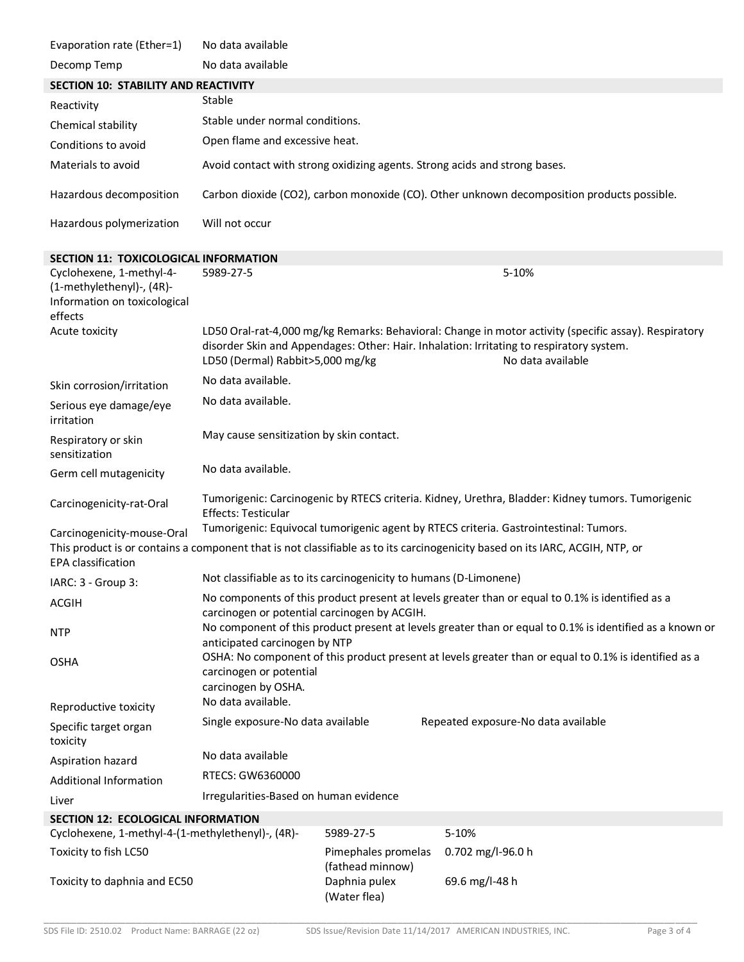| Evaporation rate (Ether=1)                                                                       | No data available                                                                                                                                                                         |                                         |                                                                                                                                                                                                                        |
|--------------------------------------------------------------------------------------------------|-------------------------------------------------------------------------------------------------------------------------------------------------------------------------------------------|-----------------------------------------|------------------------------------------------------------------------------------------------------------------------------------------------------------------------------------------------------------------------|
| Decomp Temp                                                                                      | No data available                                                                                                                                                                         |                                         |                                                                                                                                                                                                                        |
| <b>SECTION 10: STABILITY AND REACTIVITY</b>                                                      |                                                                                                                                                                                           |                                         |                                                                                                                                                                                                                        |
| Reactivity                                                                                       | Stable                                                                                                                                                                                    |                                         |                                                                                                                                                                                                                        |
| Chemical stability                                                                               | Stable under normal conditions.                                                                                                                                                           |                                         |                                                                                                                                                                                                                        |
| Conditions to avoid                                                                              | Open flame and excessive heat.                                                                                                                                                            |                                         |                                                                                                                                                                                                                        |
| Materials to avoid                                                                               |                                                                                                                                                                                           |                                         | Avoid contact with strong oxidizing agents. Strong acids and strong bases.                                                                                                                                             |
| Hazardous decomposition                                                                          |                                                                                                                                                                                           |                                         | Carbon dioxide (CO2), carbon monoxide (CO). Other unknown decomposition products possible.                                                                                                                             |
| Hazardous polymerization                                                                         | Will not occur                                                                                                                                                                            |                                         |                                                                                                                                                                                                                        |
| <b>SECTION 11: TOXICOLOGICAL INFORMATION</b>                                                     |                                                                                                                                                                                           |                                         |                                                                                                                                                                                                                        |
| Cyclohexene, 1-methyl-4-<br>(1-methylethenyl)-, (4R)-<br>Information on toxicological<br>effects | 5989-27-5                                                                                                                                                                                 |                                         | 5-10%                                                                                                                                                                                                                  |
| Acute toxicity                                                                                   | LD50 (Dermal) Rabbit>5,000 mg/kg                                                                                                                                                          |                                         | LD50 Oral-rat-4,000 mg/kg Remarks: Behavioral: Change in motor activity (specific assay). Respiratory<br>disorder Skin and Appendages: Other: Hair. Inhalation: Irritating to respiratory system.<br>No data available |
| Skin corrosion/irritation                                                                        | No data available.                                                                                                                                                                        |                                         |                                                                                                                                                                                                                        |
| Serious eye damage/eye<br>irritation                                                             | No data available.                                                                                                                                                                        |                                         |                                                                                                                                                                                                                        |
| Respiratory or skin<br>sensitization                                                             | May cause sensitization by skin contact.                                                                                                                                                  |                                         |                                                                                                                                                                                                                        |
| Germ cell mutagenicity                                                                           | No data available.                                                                                                                                                                        |                                         |                                                                                                                                                                                                                        |
| Carcinogenicity-rat-Oral                                                                         | Tumorigenic: Carcinogenic by RTECS criteria. Kidney, Urethra, Bladder: Kidney tumors. Tumorigenic<br><b>Effects: Testicular</b>                                                           |                                         |                                                                                                                                                                                                                        |
| Carcinogenicity-mouse-Oral                                                                       | Tumorigenic: Equivocal tumorigenic agent by RTECS criteria. Gastrointestinal: Tumors.                                                                                                     |                                         |                                                                                                                                                                                                                        |
| <b>EPA</b> classification                                                                        |                                                                                                                                                                                           |                                         | This product is or contains a component that is not classifiable as to its carcinogenicity based on its IARC, ACGIH, NTP, or                                                                                           |
| IARC: 3 - Group 3:                                                                               | Not classifiable as to its carcinogenicity to humans (D-Limonene)                                                                                                                         |                                         |                                                                                                                                                                                                                        |
| <b>ACGIH</b>                                                                                     | No components of this product present at levels greater than or equal to 0.1% is identified as a                                                                                          |                                         |                                                                                                                                                                                                                        |
| <b>NTP</b>                                                                                       | carcinogen or potential carcinogen by ACGIH.<br>No component of this product present at levels greater than or equal to 0.1% is identified as a known or<br>anticipated carcinogen by NTP |                                         |                                                                                                                                                                                                                        |
| <b>OSHA</b>                                                                                      | OSHA: No component of this product present at levels greater than or equal to 0.1% is identified as a<br>carcinogen or potential<br>carcinogen by OSHA.                                   |                                         |                                                                                                                                                                                                                        |
| Reproductive toxicity                                                                            | No data available.                                                                                                                                                                        |                                         |                                                                                                                                                                                                                        |
| Specific target organ<br>toxicity                                                                | Single exposure-No data available                                                                                                                                                         |                                         | Repeated exposure-No data available                                                                                                                                                                                    |
| Aspiration hazard                                                                                | No data available                                                                                                                                                                         |                                         |                                                                                                                                                                                                                        |
| <b>Additional Information</b>                                                                    | RTECS: GW6360000                                                                                                                                                                          |                                         |                                                                                                                                                                                                                        |
| Liver                                                                                            | Irregularities-Based on human evidence                                                                                                                                                    |                                         |                                                                                                                                                                                                                        |
| <b>SECTION 12: ECOLOGICAL INFORMATION</b>                                                        |                                                                                                                                                                                           |                                         |                                                                                                                                                                                                                        |
| Cyclohexene, 1-methyl-4-(1-methylethenyl)-, (4R)-                                                |                                                                                                                                                                                           | 5989-27-5                               | 5-10%                                                                                                                                                                                                                  |
| Toxicity to fish LC50                                                                            |                                                                                                                                                                                           | Pimephales promelas<br>(fathead minnow) | 0.702 mg/l-96.0 h                                                                                                                                                                                                      |
| Toxicity to daphnia and EC50                                                                     |                                                                                                                                                                                           | Daphnia pulex<br>(Water flea)           | 69.6 mg/l-48 h                                                                                                                                                                                                         |